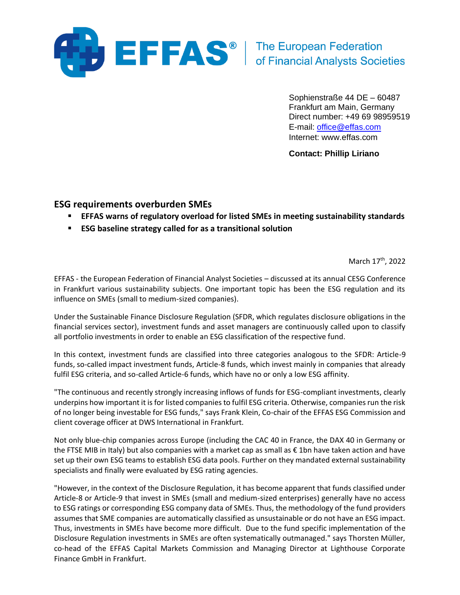

Sophienstraße 44 DE – 60487 Frankfurt am Main, Germany Direct number: +49 69 98959519 E-mail: [office@effas.com](mailto:office@effas.com) Internet: [www.effas.com](http://www.effas.com/) 

**Contact: Phillip Liriano**

## **ESG requirements overburden SMEs**

- **EFFAS warns of regulatory overload for listed SMEs in meeting sustainability standards**
- **ESG baseline strategy called for as a transitional solution**

March 17<sup>th</sup>, 2022

EFFAS - the European Federation of Financial Analyst Societies – discussed at its annual CESG Conference in Frankfurt various sustainability subjects. One important topic has been the ESG regulation and its influence on SMEs (small to medium-sized companies).

Under the Sustainable Finance Disclosure Regulation (SFDR, which regulates disclosure obligations in the financial services sector), investment funds and asset managers are continuously called upon to classify all portfolio investments in order to enable an ESG classification of the respective fund.

In this context, investment funds are classified into three categories analogous to the SFDR: Article-9 funds, so-called impact investment funds, Article-8 funds, which invest mainly in companies that already fulfil ESG criteria, and so-called Article-6 funds, which have no or only a low ESG affinity.

"The continuous and recently strongly increasing inflows of funds for ESG-compliant investments, clearly underpins how important it is for listed companies to fulfil ESG criteria. Otherwise, companies run the risk of no longer being investable for ESG funds," says Frank Klein, Co-chair of the EFFAS ESG Commission and client coverage officer at DWS International in Frankfurt.

Not only blue-chip companies across Europe (including the CAC 40 in France, the DAX 40 in Germany or the FTSE MIB in Italy) but also companies with a market cap as small as € 1bn have taken action and have set up their own ESG teams to establish ESG data pools. Further on they mandated external sustainability specialists and finally were evaluated by ESG rating agencies.

"However, in the context of the Disclosure Regulation, it has become apparent that funds classified under Article-8 or Article-9 that invest in SMEs (small and medium-sized enterprises) generally have no access to ESG ratings or corresponding ESG company data of SMEs. Thus, the methodology of the fund providers assumes that SME companies are automatically classified as unsustainable or do not have an ESG impact. Thus, investments in SMEs have become more difficult. Due to the fund specific implementation of the Disclosure Regulation investments in SMEs are often systematically outmanaged." says Thorsten Müller, co-head of the EFFAS Capital Markets Commission and Managing Director at Lighthouse Corporate Finance GmbH in Frankfurt.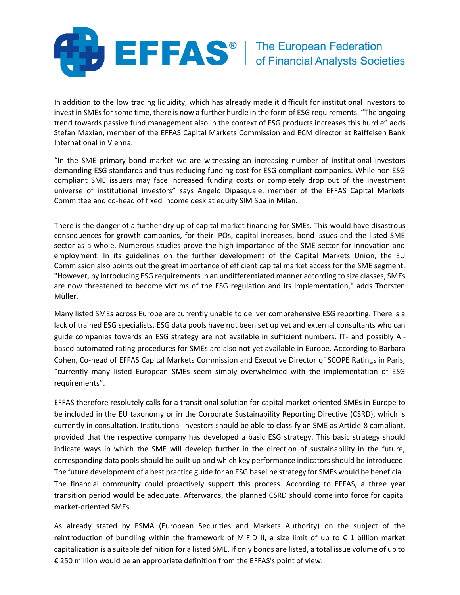

In addition to the low trading liquidity, which has already made it difficult for institutional investors to invest in SMEs for some time, there is now a further hurdle in the form of ESG requirements. "The ongoing trend towards passive fund management also in the context of ESG products increases this hurdle" adds Stefan Maxian, member of the EFFAS Capital Markets Commission and ECM director at Raiffeisen Bank International in Vienna.

"In the SME primary bond market we are witnessing an increasing number of institutional investors demanding ESG standards and thus reducing funding cost for ESG compliant companies. While non ESG compliant SME issuers may face increased funding costs or completely drop out of the investment universe of institutional investors" says Angelo Dipasquale, member of the EFFAS Capital Markets Committee and co-head of fixed income desk at equity SIM Spa in Milan.

There is the danger of a further dry up of capital market financing for SMEs. This would have disastrous consequences for growth companies, for their IPOs, capital increases, bond issues and the listed SME sector as a whole. Numerous studies prove the high importance of the SME sector for innovation and employment. In its guidelines on the further development of the Capital Markets Union, the EU Commission also points out the great importance of efficient capital market access for the SME segment. "However, by introducing ESG requirements in an undifferentiated manner according to size classes, SMEs are now threatened to become victims of the ESG regulation and its implementation," adds Thorsten Müller.

Many listed SMEs across Europe are currently unable to deliver comprehensive ESG reporting. There is a lack of trained ESG specialists, ESG data pools have not been set up yet and external consultants who can guide companies towards an ESG strategy are not available in sufficient numbers. IT- and possibly AIbased automated rating procedures for SMEs are also not yet available in Europe. According to Barbara Cohen, Co-head of EFFAS Capital Markets Commission and Executive Director of SCOPE Ratings in Paris, "currently many listed European SMEs seem simply overwhelmed with the implementation of ESG requirements".

EFFAS therefore resolutely calls for a transitional solution for capital market-oriented SMEs in Europe to be included in the EU taxonomy or in the Corporate Sustainability Reporting Directive (CSRD), which is currently in consultation. Institutional investors should be able to classify an SME as Article-8 compliant, provided that the respective company has developed a basic ESG strategy. This basic strategy should indicate ways in which the SME will develop further in the direction of sustainability in the future, corresponding data pools should be built up and which key performance indicators should be introduced. The future development of a best practice guide for an ESG baseline strategy for SMEs would be beneficial. The financial community could proactively support this process. According to EFFAS, a three year transition period would be adequate. Afterwards, the planned CSRD should come into force for capital market-oriented SMEs.

As already stated by ESMA (European Securities and Markets Authority) on the subject of the reintroduction of bundling within the framework of MiFID II, a size limit of up to  $\epsilon$  1 billion market capitalization is a suitable definition for a listed SME. If only bonds are listed, a total issue volume of up to € 250 million would be an appropriate definition from the EFFAS's point of view.